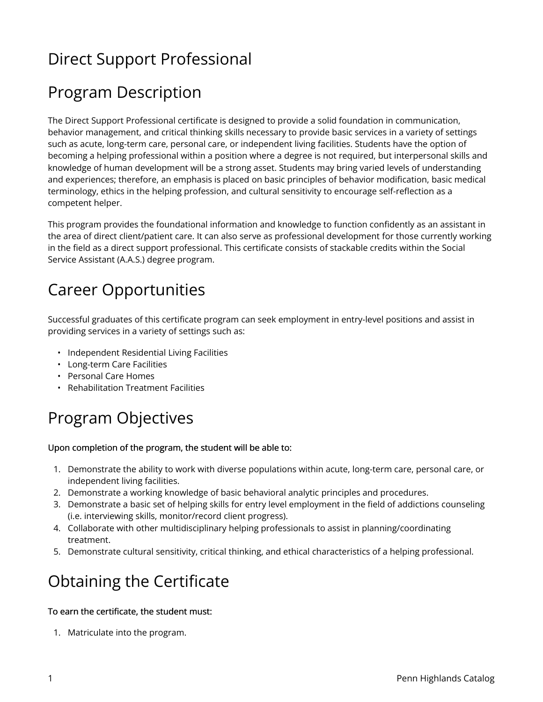## Direct Support Professional

## Program Description

The Direct Support Professional certificate is designed to provide a solid foundation in communication, behavior management, and critical thinking skills necessary to provide basic services in a variety of settings such as acute, long-term care, personal care, or independent living facilities. Students have the option of becoming a helping professional within a position where a degree is not required, but interpersonal skills and knowledge of human development will be a strong asset. Students may bring varied levels of understanding and experiences; therefore, an emphasis is placed on basic principles of behavior modification, basic medical terminology, ethics in the helping profession, and cultural sensitivity to encourage self-reflection as a competent helper.

This program provides the foundational information and knowledge to function confidently as an assistant in the area of direct client/patient care. It can also serve as professional development for those currently working in the field as a direct support professional. This certificate consists of stackable credits within the Social Service Assistant (A.A.S.) degree program.

# Career Opportunities

Successful graduates of this certificate program can seek employment in entry-level positions and assist in providing services in a variety of settings such as:

- Independent Residential Living Facilities
- Long-term Care Facilities
- Personal Care Homes
- Rehabilitation Treatment Facilities

# Program Objectives

#### Upon completion of the program, the student will be able to:

- 1. Demonstrate the ability to work with diverse populations within acute, long-term care, personal care, or independent living facilities.
- 2. Demonstrate a working knowledge of basic behavioral analytic principles and procedures.
- 3. Demonstrate a basic set of helping skills for entry level employment in the field of addictions counseling (i.e. interviewing skills, monitor/record client progress).
- 4. Collaborate with other multidisciplinary helping professionals to assist in planning/coordinating treatment.
- 5. Demonstrate cultural sensitivity, critical thinking, and ethical characteristics of a helping professional.

### Obtaining the Certificate

#### To earn the certificate, the student must:

1. Matriculate into the program.